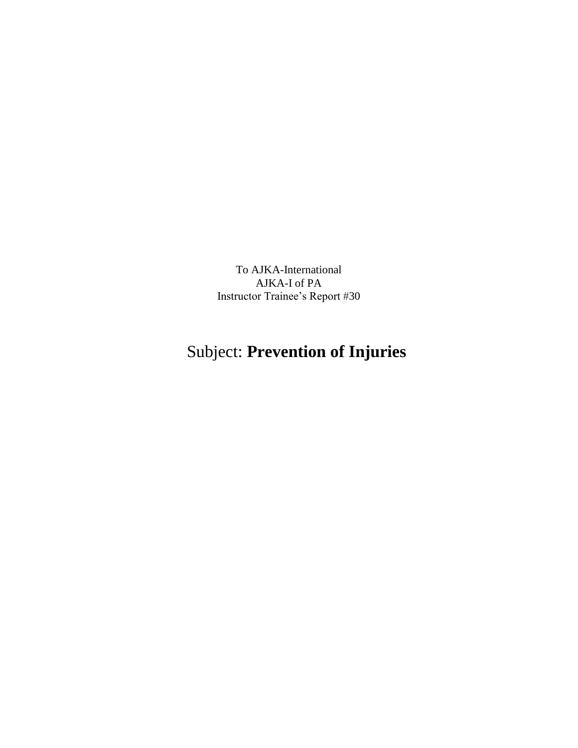To AJKA-International AJKA-I of PA Instructor Trainee's Report #30

## Subject: **Prevention of Injuries**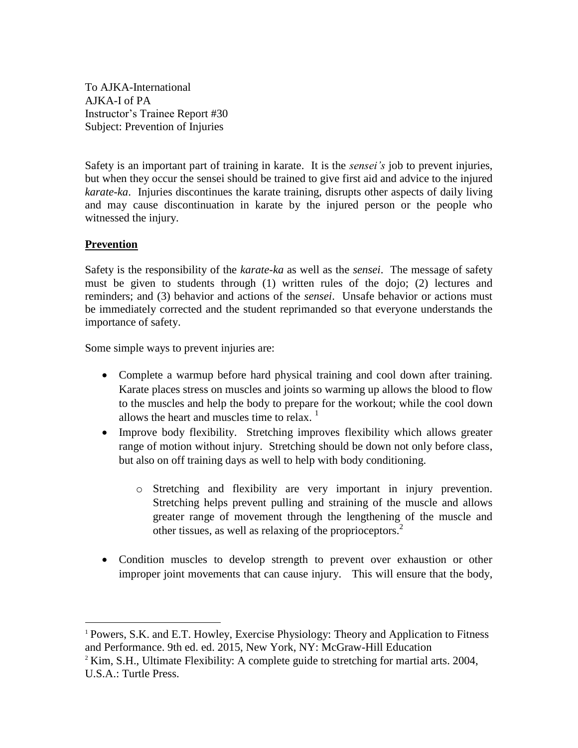To AJKA-International AJKA-I of PA Instructor's Trainee Report #30 Subject: Prevention of Injuries

Safety is an important part of training in karate. It is the *sensei's* job to prevent injuries, but when they occur the sensei should be trained to give first aid and advice to the injured *karate-ka*. Injuries discontinues the karate training, disrupts other aspects of daily living and may cause discontinuation in karate by the injured person or the people who witnessed the injury.

## **Prevention**

 $\overline{a}$ 

Safety is the responsibility of the *karate-ka* as well as the *sensei*. The message of safety must be given to students through (1) written rules of the dojo; (2) lectures and reminders; and (3) behavior and actions of the *sensei*. Unsafe behavior or actions must be immediately corrected and the student reprimanded so that everyone understands the importance of safety.

Some simple ways to prevent injuries are:

- Complete a warmup before hard physical training and cool down after training. Karate places stress on muscles and joints so warming up allows the blood to flow to the muscles and help the body to prepare for the workout; while the cool down allows the heart and muscles time to relax.  $1$
- Improve body flexibility. Stretching improves flexibility which allows greater range of motion without injury. Stretching should be down not only before class, but also on off training days as well to help with body conditioning.
	- o Stretching and flexibility are very important in injury prevention. Stretching helps prevent pulling and straining of the muscle and allows greater range of movement through the lengthening of the muscle and other tissues, as well as relaxing of the proprioceptors.<sup>2</sup>
- Condition muscles to develop strength to prevent over exhaustion or other improper joint movements that can cause injury. This will ensure that the body,

<sup>1</sup> Powers, S.K. and E.T. Howley, Exercise Physiology: Theory and Application to Fitness and Performance. 9th ed. ed. 2015, New York, NY: McGraw-Hill Education

 $2$  Kim, S.H., Ultimate Flexibility: A complete guide to stretching for martial arts. 2004, U.S.A.: Turtle Press.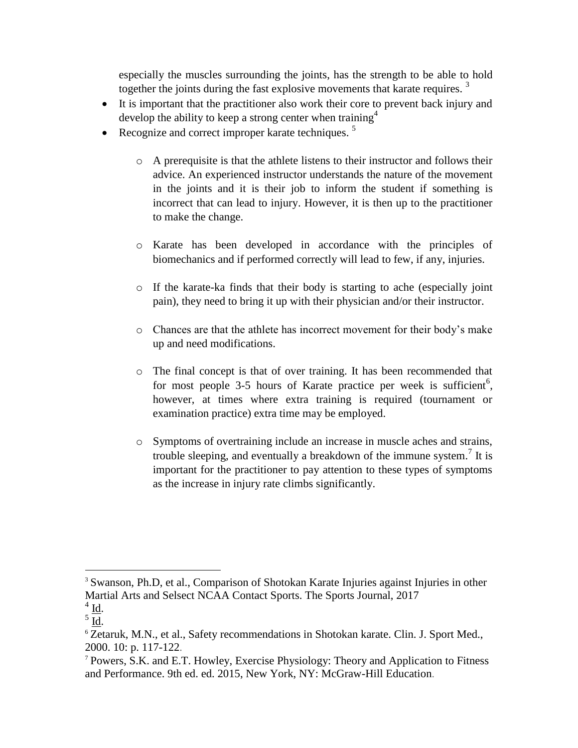especially the muscles surrounding the joints, has the strength to be able to hold together the joints during the fast explosive movements that karate requires.  $3$ 

- It is important that the practitioner also work their core to prevent back injury and develop the ability to keep a strong center when training<sup>4</sup>
- Recognize and correct improper karate techniques.  $5$ 
	- o A prerequisite is that the athlete listens to their instructor and follows their advice. An experienced instructor understands the nature of the movement in the joints and it is their job to inform the student if something is incorrect that can lead to injury. However, it is then up to the practitioner to make the change.
	- o Karate has been developed in accordance with the principles of biomechanics and if performed correctly will lead to few, if any, injuries.
	- o If the karate-ka finds that their body is starting to ache (especially joint pain), they need to bring it up with their physician and/or their instructor.
	- o Chances are that the athlete has incorrect movement for their body's make up and need modifications.
	- o The final concept is that of over training. It has been recommended that for most people  $3-5$  hours of Karate practice per week is sufficient<sup>6</sup>, however, at times where extra training is required (tournament or examination practice) extra time may be employed.
	- o Symptoms of overtraining include an increase in muscle aches and strains, trouble sleeping, and eventually a breakdown of the immune system.<sup>7</sup> It is important for the practitioner to pay attention to these types of symptoms as the increase in injury rate climbs significantly.

 $\overline{a}$ 

<sup>&</sup>lt;sup>3</sup> Swanson, Ph.D, et al., Comparison of Shotokan Karate Injuries against Injuries in other Martial Arts and Selsect NCAA Contact Sports. The Sports Journal, 2017

 $4$   $\underline{\text{Id}}$ .

 $\frac{5}{10}$ .

<sup>&</sup>lt;sup>6</sup> Zetaruk, M.N., et al., Safety recommendations in Shotokan karate. Clin. J. Sport Med., 2000. 10: p. 117-122.

<sup>7</sup> Powers, S.K. and E.T. Howley, Exercise Physiology: Theory and Application to Fitness and Performance. 9th ed. ed. 2015, New York, NY: McGraw-Hill Education.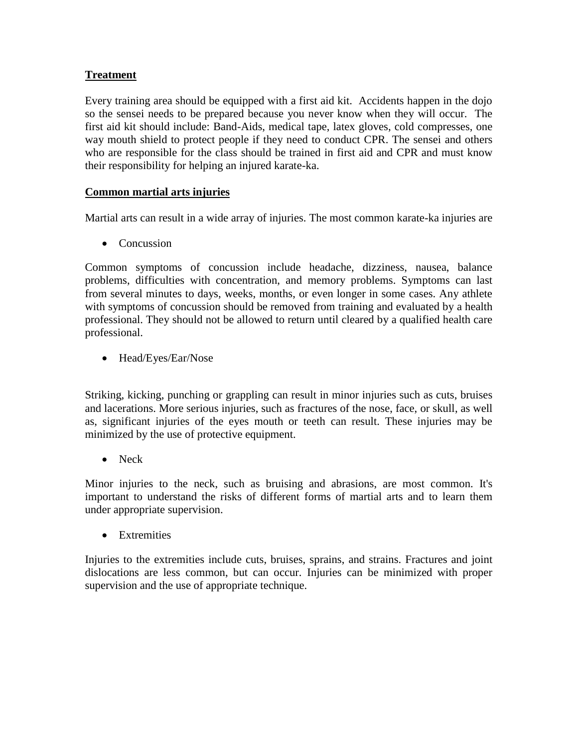## **Treatment**

Every training area should be equipped with a first aid kit. Accidents happen in the dojo so the sensei needs to be prepared because you never know when they will occur. The first aid kit should include: Band-Aids, medical tape, latex gloves, cold compresses, one way mouth shield to protect people if they need to conduct CPR. The sensei and others who are responsible for the class should be trained in first aid and CPR and must know their responsibility for helping an injured karate-ka.

## **Common martial arts injuries**

Martial arts can result in a wide array of injuries. The most common karate-ka injuries are

• Concussion

Common symptoms of concussion include headache, dizziness, nausea, balance problems, difficulties with concentration, and memory problems. Symptoms can last from several minutes to days, weeks, months, or even longer in some cases. Any athlete with symptoms of concussion should be removed from training and evaluated by a health professional. They should not be allowed to return until cleared by a qualified health care professional.

• Head/Eyes/Ear/Nose

Striking, kicking, punching or grappling can result in minor injuries such as cuts, bruises and lacerations. More serious injuries, such as fractures of the nose, face, or skull, as well as, significant injuries of the eyes mouth or teeth can result. These injuries may be minimized by the use of protective equipment.

• Neck

Minor injuries to the neck, such as bruising and abrasions, are most common. It's important to understand the risks of different forms of martial arts and to learn them under appropriate supervision.

• Extremities

Injuries to the extremities include cuts, bruises, sprains, and strains. Fractures and joint dislocations are less common, but can occur. Injuries can be minimized with proper supervision and the use of appropriate technique.